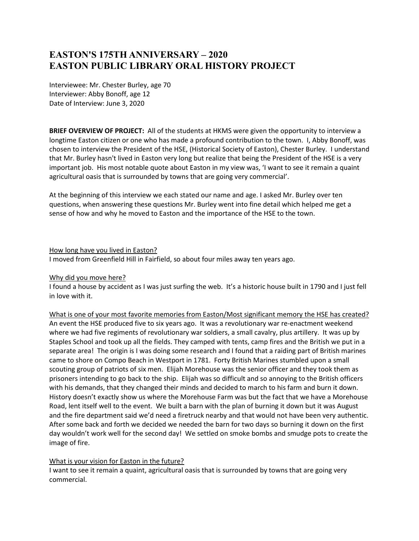# **EASTON'S 175TH ANNIVERSARY – 2020 EASTON PUBLIC LIBRARY ORAL HISTORY PROJECT**

Interviewee: Mr. Chester Burley, age 70 Interviewer: Abby Bonoff, age 12 Date of Interview: June 3, 2020

**BRIEF OVERVIEW OF PROJECT:** All of the students at HKMS were given the opportunity to interview a longtime Easton citizen or one who has made a profound contribution to the town. I, Abby Bonoff, was chosen to interview the President of the HSE, (Historical Society of Easton), Chester Burley. I understand that Mr. Burley hasn't lived in Easton very long but realize that being the President of the HSE is a very important job. His most notable quote about Easton in my view was, 'I want to see it remain a quaint agricultural oasis that is surrounded by towns that are going very commercial'.

At the beginning of this interview we each stated our name and age. I asked Mr. Burley over ten questions, when answering these questions Mr. Burley went into fine detail which helped me get a sense of how and why he moved to Easton and the importance of the HSE to the town.

How long have you lived in Easton?

I moved from Greenfield Hill in Fairfield, so about four miles away ten years ago.

# Why did you move here?

I found a house by accident as I was just surfing the web. It's a historic house built in 1790 and I just fell in love with it.

What is one of your most favorite memories from Easton/Most significant memory the HSE has created? An event the HSE produced five to six years ago. It was a revolutionary war re-enactment weekend where we had five regiments of revolutionary war soldiers, a small cavalry, plus artillery. It was up by Staples School and took up all the fields. They camped with tents, camp fires and the British we put in a separate area! The origin is I was doing some research and I found that a raiding part of British marines came to shore on Compo Beach in Westport in 1781. Forty British Marines stumbled upon a small scouting group of patriots of six men. Elijah Morehouse was the senior officer and they took them as prisoners intending to go back to the ship. Elijah was so difficult and so annoying to the British officers with his demands, that they changed their minds and decided to march to his farm and burn it down. History doesn't exactly show us where the Morehouse Farm was but the fact that we have a Morehouse Road, lent itself well to the event. We built a barn with the plan of burning it down but it was August and the fire department said we'd need a firetruck nearby and that would not have been very authentic. After some back and forth we decided we needed the barn for two days so burning it down on the first day wouldn't work well for the second day! We settled on smoke bombs and smudge pots to create the image of fire.

# What is your vision for Easton in the future?

I want to see it remain a quaint, agricultural oasis that is surrounded by towns that are going very commercial.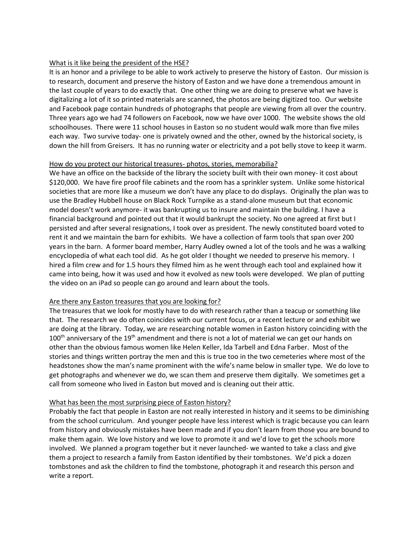## What is it like being the president of the HSE?

It is an honor and a privilege to be able to work actively to preserve the history of Easton. Our mission is to research, document and preserve the history of Easton and we have done a tremendous amount in the last couple of years to do exactly that. One other thing we are doing to preserve what we have is digitalizing a lot of it so printed materials are scanned, the photos are being digitized too. Our website and Facebook page contain hundreds of photographs that people are viewing from all over the country. Three years ago we had 74 followers on Facebook, now we have over 1000. The website shows the old schoolhouses. There were 11 school houses in Easton so no student would walk more than five miles each way. Two survive today- one is privately owned and the other, owned by the historical society, is down the hill from Greisers. It has no running water or electricity and a pot belly stove to keep it warm.

#### How do you protect our historical treasures- photos, stories, memorabilia?

We have an office on the backside of the library the society built with their own money- it cost about \$120,000. We have fire proof file cabinets and the room has a sprinkler system. Unlike some historical societies that are more like a museum we don't have any place to do displays. Originally the plan was to use the Bradley Hubbell house on Black Rock Turnpike as a stand-alone museum but that economic model doesn't work anymore- it was bankrupting us to insure and maintain the building. I have a financial background and pointed out that it would bankrupt the society. No one agreed at first but I persisted and after several resignations, I took over as president. The newly constituted board voted to rent it and we maintain the barn for exhibits. We have a collection of farm tools that span over 200 years in the barn. A former board member, Harry Audley owned a lot of the tools and he was a walking encyclopedia of what each tool did. As he got older I thought we needed to preserve his memory. I hired a film crew and for 1.5 hours they filmed him as he went through each tool and explained how it came into being, how it was used and how it evolved as new tools were developed. We plan of putting the video on an iPad so people can go around and learn about the tools.

# Are there any Easton treasures that you are looking for?

The treasures that we look for mostly have to do with research rather than a teacup or something like that. The research we do often coincides with our current focus, or a recent lecture or and exhibit we are doing at the library. Today, we are researching notable women in Easton history coinciding with the  $100<sup>th</sup>$  anniversary of the  $19<sup>th</sup>$  amendment and there is not a lot of material we can get our hands on other than the obvious famous women like Helen Keller, Ida Tarbell and Edna Farber. Most of the stories and things written portray the men and this is true too in the two cemeteries where most of the headstones show the man's name prominent with the wife's name below in smaller type. We do love to get photographs and whenever we do, we scan them and preserve them digitally. We sometimes get a call from someone who lived in Easton but moved and is cleaning out their attic.

# What has been the most surprising piece of Easton history?

Probably the fact that people in Easton are not really interested in history and it seems to be diminishing from the school curriculum. And younger people have less interest which is tragic because you can learn from history and obviously mistakes have been made and if you don't learn from those you are bound to make them again. We love history and we love to promote it and we'd love to get the schools more involved. We planned a program together but it never launched- we wanted to take a class and give them a project to research a family from Easton identified by their tombstones. We'd pick a dozen tombstones and ask the children to find the tombstone, photograph it and research this person and write a report.